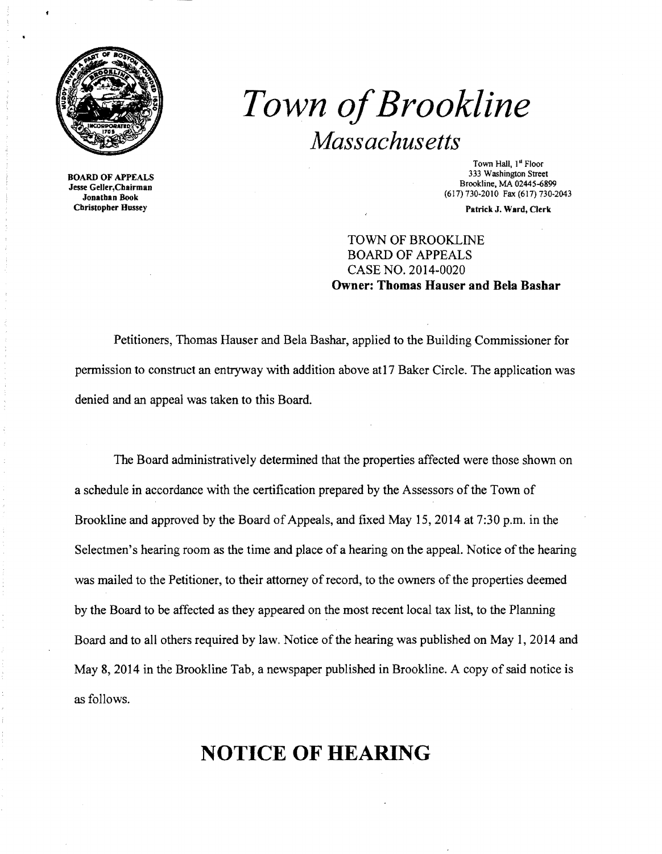

*Town ofBrookline Mass achus etts* 

Jonathan Book Cbristopher Hussey Patrick J. Ward, Clerk

Town Hall, 1<sup>st</sup> Floor<br>333 Washington Street 333 Washington Street 333 Washington Street 333 Washington Street<br> **1933 Washington Street** Brookline, MA 02445-6899 Brookline, MA 02445-6899 Jonathan Book<br>
1991 Jonathan Book (617) 730-2010 Fax (617) 730-2014

## TOWN OF BROOKLINE BOARD OF APPEALS CASE NO. 2014·0020 Owner: Thomas Hauser and Bela Bashar

Petitioners, Thomas Hauser and Bela Bashar, applied to the Building Commissioner for permission to construct an entryway with addition above at17 Baker Circle. The application was denied and an appeal was taken to this Board.

The Board administratively determined that the properties affected were those shown on a schedule in accordance with the certification prepared by the Assessors of the Town of Brookline and approved by the Board of Appeals, and fixed May 15, 2014 at 7:30 p.m. in the Selectmen's hearing room as the time and place of a hearing on the appeal. Notice of the hearing was mailed to the Petitioner, to their attorney of record, to the owners of the properties deemed by the Board to be affected as they appeared on the most recent local tax list, to the Planning Board and to all others required by law. Notice of the hearing was published on May 1, 2014 and May 8, 2014 in the Brookline Tab, a newspaper published in Brookline. A copy of said notice is as follows.

## **NOTICE OF HEARING**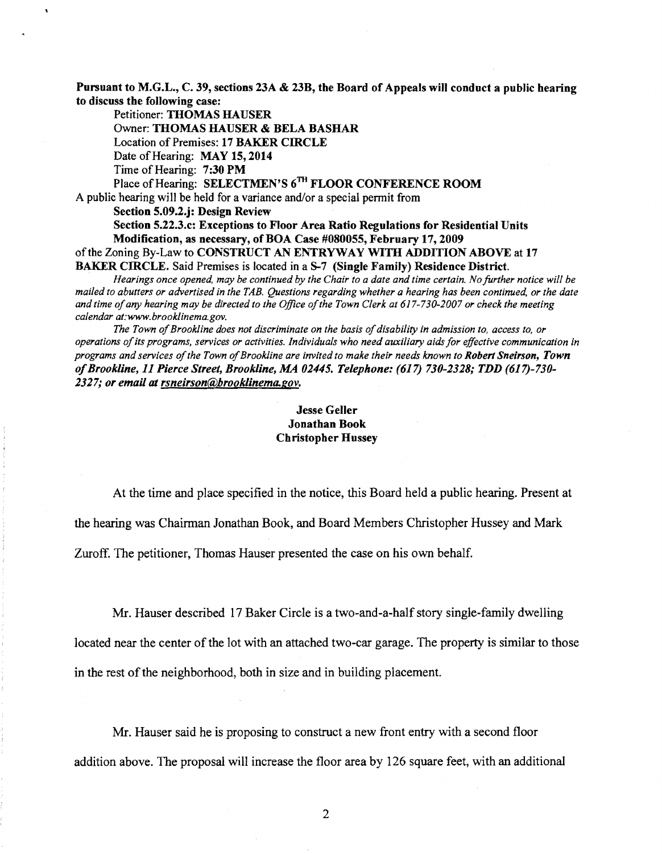Pursuant to M.G.L., C. 39, sections 23A & 23B, the Board of Appeals will conduct a public hearing to discuss the following case:

Petitioner: THOMAS HAUSER Owner: THOMAS HAUSER & BELA BASHAR Location of Premises: 17 BAKER CIRCLE Date of Hearing: MAY 15, 2014 Time of Hearing: 7:30 PM Place of Hearing: SELECTMEN'S 6<sup>TH</sup> FLOOR CONFERENCE ROOM A public hearing will be held for a variance and/or a special permit from Section 5.09.2.j: Design Review Section 5.22.3.c: Exceptions to Floor Area Ratio Regulations for Residential Units Modification, as necessary, of BOA Case #080055, February 17,2009 of the Zoning By-Law to CONSTRUCT AN ENTRYWAY WITH ADDITION ABOVE at 17 BAKER CIRCLE. Said Premises is located in a S-7 (Single Family) Residence District. *Hearings once opened, may be continued by the Chair to a date and time certain. No further notice will be* 

*mailed to abutters or advertised in the TAB. Questions regarding whether a hearing has been continued, or the date and time ofany hearing may be directed to the Office ofthe Town Clerk at 617-730-2007 or check the meeting calendar at:www.brooklinema.gov.* 

The Town of Brookline does not discriminate on the basis of disability in admission to, access to, or *operations ofits programs, services or activities. Individuals who need auxiliary aids for effective communication in programs and services ofthe Town ofBrookline are invited to make their needs known to Robert Sneirson, Town ofBrookline,* 11 *Pierce Street, Brookline, MA 02445. Telephone:* (617) *730-2328; TDD (617)-730 2327; or email at rsneirson@hrooklinema.gov.* 

## Jesse Geller Jonathan Book Christopher Hussey

At the time and place specified in the notice, this Board held a public hearing. Present at

the hearing was Chairman Jonathan Book, and Board Members Christopher Hussey and Mark

Zuroff. The petitioner, Thomas Hauser presented the case on his own behalf.

Mr. Hauser described 17 Baker Circle is a two-and-a-half story single-family dwelling

located near the center of the lot with an attached two-car garage. The property is similar to those in the rest of the neighborhood, both in size and in building placement.

Mr. Hauser said he is proposing to construct a new front entry with a second floor addition above. The proposal will increase the floor area by 126 square feet, with an additional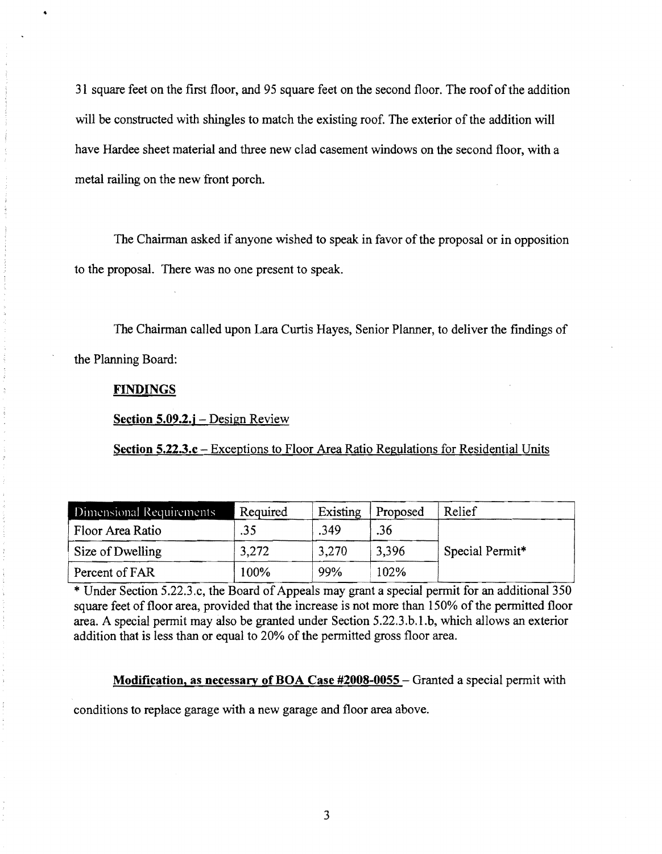31 square feet on the first floor, and 95 square feet on the second floor. The roof ofthe addition will be constructed with shingles to match the existing roof. The exterior of the addition will have Hardee sheet material and three new clad casement windows on the second floor, with a metal railing on the new front porch.

The Chairman asked if anyone wished to speak in favor of the proposal or in opposition to the proposal. There was no one present to speak.

The Chairman called upon Lara Curtis Hayes, Senior Planner, to deliver the findings of the Planning Board:

## **FINDINGS**

Section 5.09.2.j – Design Review

Section 5.22.3.c – Exceptions to Floor Area Ratio Regulations for Residential Units

| Dimensional Requirements | Required | Existing | Proposed | Relief          |
|--------------------------|----------|----------|----------|-----------------|
| Floor Area Ratio         | .35      | .349     | .36      |                 |
| Size of Dwelling         | 3.272    | 3,270    | 3,396    | Special Permit* |
| Percent of FAR           | 100%     | 99%      | 102%     |                 |

\* Under Section 5.22.3.c, the Board of Appeals may grant a special permit for an additional 350 square feet of floor area, provided that the increase is not more than 150% of the permitted floor area. A special pennit may also be granted under Section 5.22.3.b.l.b, which allows an exterior addition that is less than or equal to 20% of the pennitted gross floor area.

Modification, as necessary of BOA Case #2008-0055 - Granted a special permit with

conditions to replace garage with a new garage and floor area above.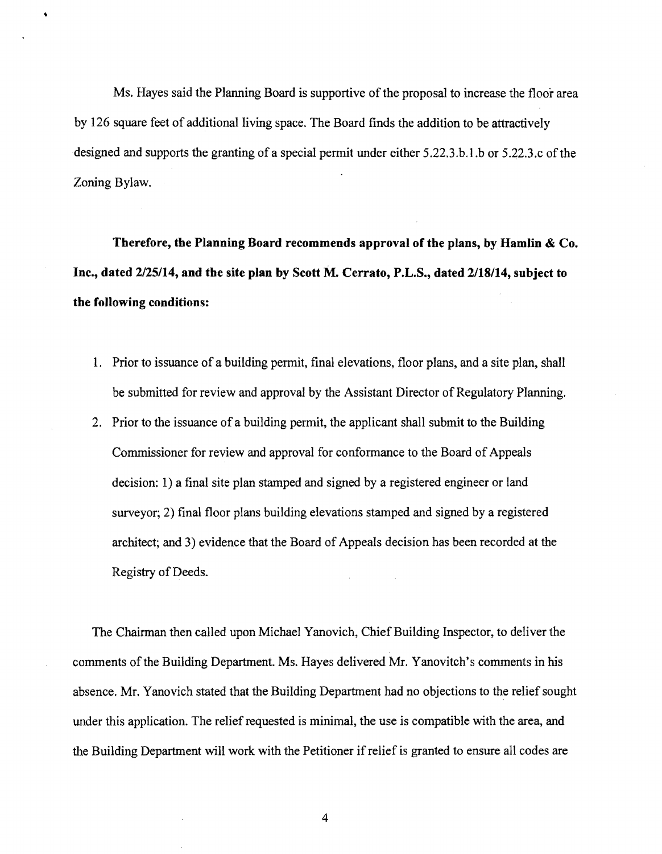Ms. Hayes said the Planning Board is supportive of the proposal to increase the floor area by 126 square feet of additional living space. The Board finds the addition to be attractively designed and supports the granting of a special permit under either  $5.22.3.6.1.$ b or  $5.22.3.c$  of the Zoning Bylaw.

**Therefore, the Planning Board recommends approval of the plans, byHamlin & Co. Inc., dated 2/25/14, and the site plan by Scott M. Cerrato, P.L.S., dated 2/18/14, subject to the following conditions:** 

- 1. Prior to issuance of a building permit, final elevations, floor plans, and a site plan, shall be submitted for review and approval by the Assistant Director of Regulatory Planning.
- 2. Prior to the issuance of a building permit, the applicant shall submit to the Building Commissioner for review and approval for conformance to the Board of Appeals decision: 1) a final site plan stamped and signed by a registered engineer or land surveyor; 2) final floor plans building elevations stamped and signed by a registered architect; and 3) evidence that the Board of Appeals decision has been recorded at the Registry of Deeds.

The Chairman then called upon Michael Yanovich, Chief Building Inspector, to deliver the comments of the Building Department. Ms. Hayes delivered Mr. Yanovitch's comments in his absence. Mr. Yanovich stated that the Building Department had no objections to the relief sought under this application. The relief requested is minimal, the use is compatible with the area, and the Building Department will work with the Petitioner if relief is granted to ensure all codes are

4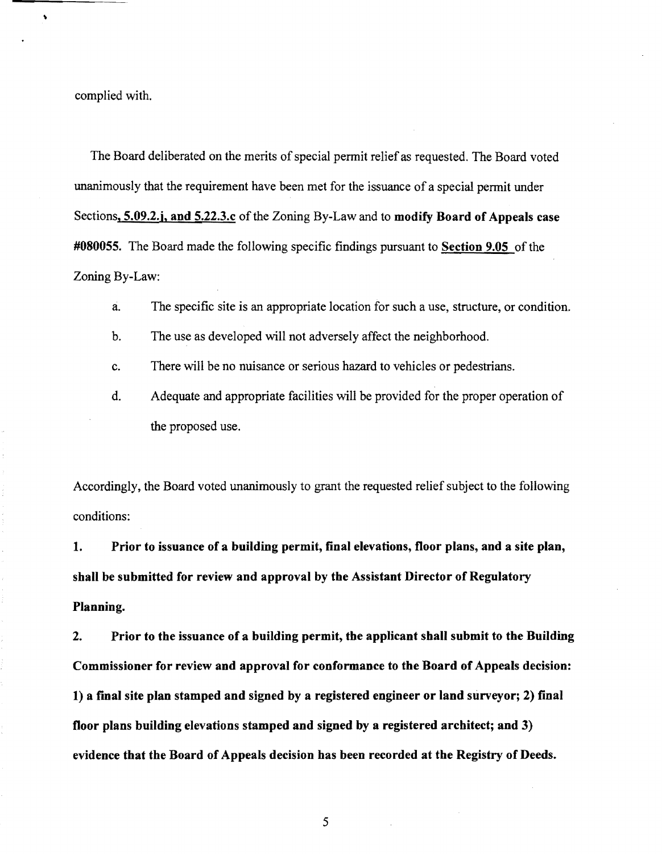complied with.

 $\ddot{\bullet}$ 

The Board deliberated on the merits of special permit relief as requested. The Board voted unanimously that the requirement have been met for the issuance of a special permit under Sections, **5.09.2.j, and 5.22.3.c** of the Zoning By-Law and to **modify Board of Appeals case #080055.** The Board made the following specific findings pursuant to **Section 9.05** of the Zoning By-Law:

a. The specific site is an appropriate location for such a use, structure, or condition.

b. The use as developed will not adversely affect the neighborhood.

c. There will be no nuisance or serious hazard to vehicles or pedestrians.

d. Adequate and appropriate facilities will be provided for the proper operation of the proposed use.

Accordingly, the Board voted unanimously to grant the requested relief subject to the following conditions:

**1. Prior to issuance of a building permit, final elevations, floor plans, and a site plan, shall be submitted for review and approval by the Assistant Director of Regulatory Planning.** 

**2. Prior to the issuance of a building permit, the applicant shall submit to the Building Commissioner for review and approval for conformance to the Board of Appeals decision: 1) a final site plan stamped and signed by a registered engineer or land surveyor; 2) final floor plans building elevations stamped and signed by a registered architect; and 3) evidence that the Board of Appeals decision has been recorded at the Registry of Deeds.** 

5